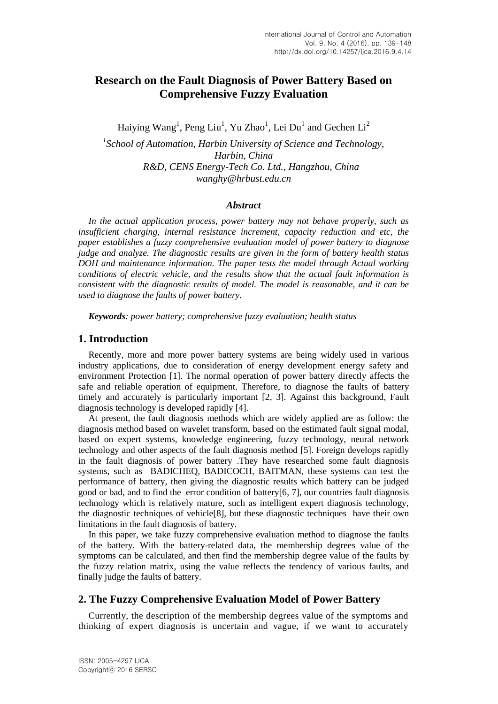# **Research on the Fault Diagnosis of Power Battery Based on Comprehensive Fuzzy Evaluation**

Haiying Wang<sup>1</sup>, Peng Liu<sup>1</sup>, Yu Zhao<sup>1</sup>, Lei Du<sup>1</sup> and Gechen Li<sup>2</sup>

*1 School of Automation, Harbin University of Science and Technology, Harbin, China R&D, CENS Energy-Tech Co. Ltd., Hangzhou, China wanghy@hrbust.edu.cn*

### *Abstract*

*In the actual application process, power battery may not behave properly, such as insufficient charging, internal resistance increment, capacity reduction and etc, the paper establishes a fuzzy comprehensive evaluation model of power battery to diagnose judge and analyze. The diagnostic results are given in the form of battery health status DOH and maintenance information. The paper tests the model through Actual working conditions of electric vehicle, and the results show that the actual fault information is consistent with the diagnostic results of model. The model is reasonable, and it can be used to diagnose the faults of power battery.*

*Keywords: power battery; comprehensive fuzzy evaluation; health status*

## **1. Introduction**

Recently, more and more power battery systems are being widely used in various industry applications, due to consideration of energy development energy safety and environment Protection [1]. The normal operation of power battery directly affects the safe and reliable operation of equipment. Therefore, to diagnose the faults of battery timely and accurately is particularly important [2, 3]. Against this background, Fault diagnosis technology is developed rapidly [4].

At present, the fault diagnosis methods which are widely applied are as follow: the diagnosis method based on wavelet transform, based on the estimated fault signal modal, based on expert systems, knowledge engineering, fuzzy technology, neural network technology and other aspects of the fault diagnosis method [5]. Foreign develops rapidly in the fault diagnosis of power battery .They have researched some fault diagnosis systems, such as BADICHEQ, BADICOCH, BAITMAN, these systems can test the performance of battery, then giving the diagnostic results which battery can be judged good or bad, and to find the error condition of battery[6, 7], our countries fault diagnosis technology which is relatively mature, such as intelligent expert diagnosis technology, the diagnostic techniques of vehicle[8], but these diagnostic techniques have their own limitations in the fault diagnosis of battery.

In this paper, we take fuzzy comprehensive evaluation method to diagnose the faults of the battery. With the battery-related data, the membership degrees value of the symptoms can be calculated, and then find the membership degree value of the faults by the fuzzy relation matrix, using the value reflects the tendency of various faults, and finally judge the faults of battery.

## **2. The Fuzzy Comprehensive Evaluation Model of Power Battery**

Currently, the description of the membership degrees value of the symptoms and thinking of expert diagnosis is uncertain and vague, if we want to accurately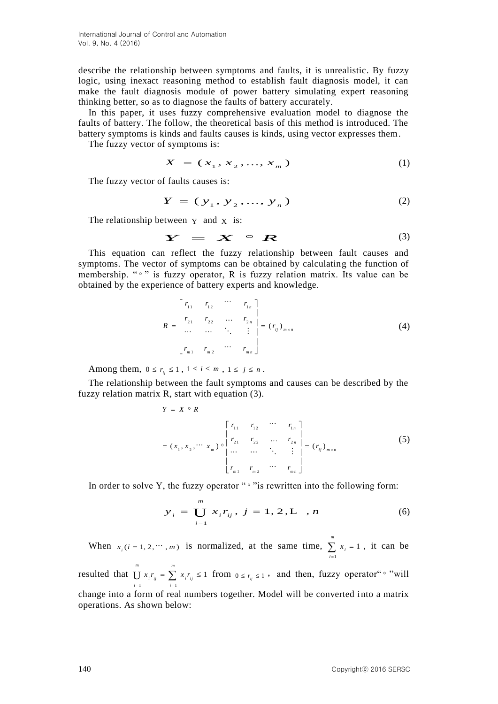describe the relationship between symptoms and faults, it is unrealistic. By fuzzy logic, using inexact reasoning method to establish fault diagnosis model, it can make the fault diagnosis module of power battery simulating expert reasoning thinking better, so as to diagnose the faults of battery accurately.

In this paper, it uses fuzzy comprehensive evaluation model to diagnose the faults of battery. The follow, the theoretical basis of this method is introduced. The battery symptoms is kinds and faults causes is kinds, using vector expresses them.

The fuzzy vector of symptoms is:

$$
X = (x_1, x_2, ..., x_m)
$$
 (1)

The fuzzy vector of faults causes is:

$$
Y = (y_1, y_2, ..., y_n)
$$
 (2)

The relationship between  $Y$  and  $X$  is:

$$
Y = X \circ R \tag{3}
$$

This equation can reflect the fuzzy relationship between fault causes and symptoms. The vector of symptoms can be obtained by calculating the function of membership. " <sup>"</sup> " is fuzzy operator, R is fuzzy relation matrix. Its value can be obtained by the experience of battery experts and knowledge.

$$
R = \begin{bmatrix} r_{11} & r_{12} & \cdots & r_{1n} \\ r_{21} & r_{22} & \cdots & r_{2n} \\ \cdots & \cdots & \ddots & \vdots \\ r_{m1} & r_{m2} & \cdots & r_{mn} \end{bmatrix} = (r_{ij})_{m \times n}
$$
 (4)

Among them,  $0 \le r_{ij} \le 1$ ,  $1 \le i \le m$ ,  $1 \le j \le n$ .

The relationship between the fault symptoms and causes can be described by the fuzzy relation matrix R, start with equation (3).

$$
Y = X \circ R
$$
  
\n
$$
= (x_1, x_2, \cdots x_m) \circ \begin{vmatrix} r_{11} & r_{12} & \cdots & r_{1n} \\ r_{21} & r_{22} & \cdots & r_{2n} \\ \vdots & \vdots & \ddots & \vdots \\ r_{m1} & r_{m2} & \cdots & r_{mn} \end{vmatrix} = (r_{ij})_{m \times n}
$$
 (5)

In order to solve Y, the fuzzy operator " $\circ$ " is rewritten into the following form:

$$
y_{i} = \bigcup_{i=1}^{m} x_{i} r_{ij}, j = 1, 2, L, n \tag{6}
$$

When  $x_i$  ( $i = 1, 2, \dots, m$ ) is normalized, at the same time, 1 1 *m i i x*  $\sum_{i=1} x_i = 1$ , it can be

resulted that 1  $i=1$ 1 *m m*  $i'_{ij} = \sum_i x_i'_{ij}$  $i = 1$  *i*  $x_i r_{ii} = \sum x_i r_i$  $\bigcup_{i=1} x_i r_{ij} = \sum_{i=1} x_i r_{ij} \le 1$  from  $0 \le r_{ij} \le 1$ , and then, fuzzy operator<sup>"</sup> "will change into a form of real numbers together. Model will be converted into a matrix operations. As shown below: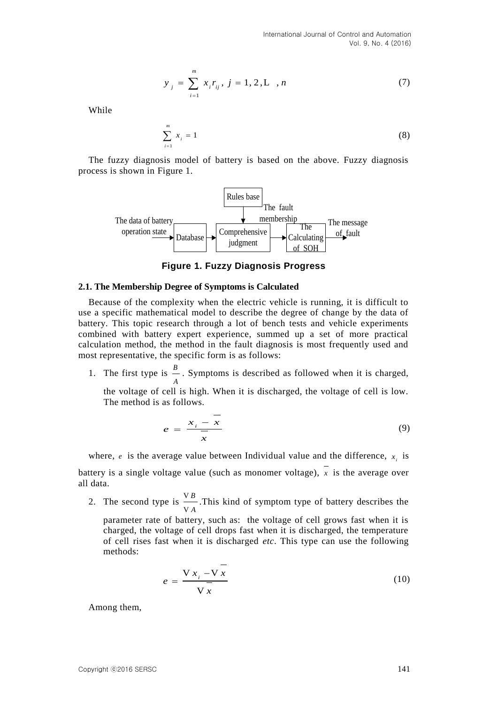$$
y_{j} = \sum_{i=1}^{m} x_{i} r_{ij}, j = 1, 2, L, n
$$
 (7)

While

$$
\sum_{i=1}^{m} x_i = 1 \tag{8}
$$

The fuzzy diagnosis model of battery is based on the above. Fuzzy diagnosis process is shown in Figure 1.



**Figure 1. Fuzzy Diagnosis Progress**

#### **2.1. The Membership Degree of Symptoms is Calculated**

Because of the complexity when the electric vehicle is running, it is difficult to use a specific mathematical model to describe the degree of change by the data of battery. This topic research through a lot of bench tests and vehicle experiments combined with battery expert experience, summed up a set of more practical calculation method, the method in the fault diagnosis is most frequently used and most representative, the specific form is as follows:

1. The first type is  $\frac{B}{A}$ *A* . Symptoms is described as followed when it is charged,

the voltage of cell is high. When it is discharged, the voltage of cell is low. The method is as follows.

$$
e = \frac{x_i - \overline{x}}{\overline{x}}
$$
 (9)

where, *e* is the average value between Individual value and the difference,  $x_i$  is battery is a single voltage value (such as monomer voltage), *x* is the average over all data.

2. The second type is  $\frac{V}{P}$ *A* V V .This kind of symptom type of battery describes the

parameter rate of battery, such as: the voltage of cell grows fast when it is charged, the voltage of cell drops fast when it is discharged, the temperature of cell rises fast when it is discharged *etc*. This type can use the following methods:

$$
e = \frac{\nabla x_i - \nabla \overline{x}}{\nabla \overline{x}}
$$
 (10)

Among them,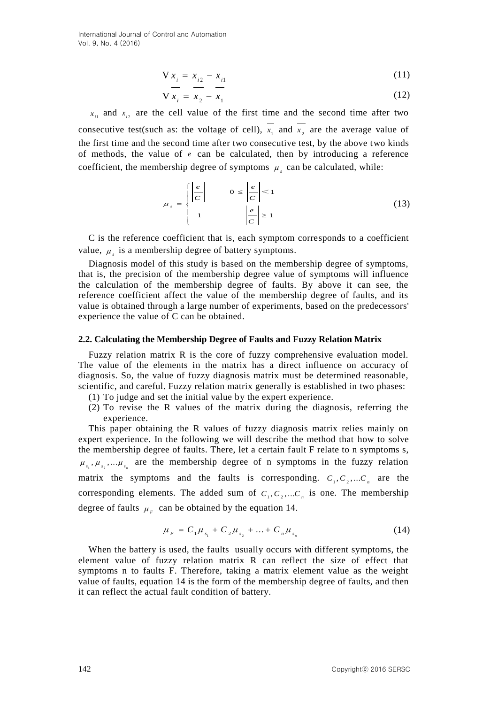$$
V x_i = x_{i2} - x_{i1}
$$
 (11)

$$
V x_i = x_2 - x_1 \tag{12}
$$

 $x_{i1}$  and  $x_{i2}$  are the cell value of the first time and the second time after two consecutive test(such as: the voltage of cell),  $x_1$  and  $x_2$  are the average value of the first time and the second time after two consecutive test, by the above two kinds of methods, the value of *e* can be calculated, then by introducing a reference coefficient, the membership degree of symptoms  $\mu_s$  can be calculated, while:

$$
\mu_s = \begin{cases} \left| \frac{e}{C} \right| & 0 \le \left| \frac{e}{C} \right| < 1\\ 1 & \left| \frac{e}{C} \right| \ge 1 \end{cases} \tag{13}
$$

C is the reference coefficient that is, each symptom corresponds to a coefficient value,  $\mu_s$  is a membership degree of battery symptoms.

Diagnosis model of this study is based on the membership degree of symptoms, that is, the precision of the membership degree value of symptoms will influence the calculation of the membership degree of faults. By above it can see, the reference coefficient affect the value of the membership degree of faults, and its value is obtained through a large number of experiments, based on the predecessors' experience the value of C can be obtained.

#### **2.2. Calculating the Membership Degree of Faults and Fuzzy Relation Matrix**

Fuzzy relation matrix R is the core of fuzzy comprehensive evaluation model. The value of the elements in the matrix has a direct influence on accuracy of diagnosis. So, the value of fuzzy diagnosis matrix must be determined reasonable, scientific, and careful. Fuzzy relation matrix generally is established in two phases:

- (1) To judge and set the initial value by the expert experience.
- (2) To revise the R values of the matrix during the diagnosis, referring the experience.

This paper obtaining the R values of fuzzy diagnosis matrix relies mainly on expert experience. In the following we will describe the method that how to solve the membership degree of faults. There, let a certain fault F relate to n symptoms s,  $\mu_{s_1}, \mu_{s_2}, \ldots, \mu_{s_n}$  are the membership degree of n symptoms in the fuzzy relation matrix the symptoms and the faults is corresponding.  $C_1, C_2,...C_n$  are the corresponding elements. The added sum of  $C_1, C_2,...C_n$  is one. The membership degree of faults  $\mu_F$  can be obtained by the equation 14.

$$
\mu_{F} = C_{1} \mu_{s_{1}} + C_{2} \mu_{s_{2}} + ... + C_{n} \mu_{s_{n}}
$$
\n(14)

When the battery is used, the faults usually occurs with different symptoms, the element value of fuzzy relation matrix R can reflect the size of effect that symptoms n to faults F. Therefore, taking a matrix element value as the weight value of faults, equation 14 is the form of the membership degree of faults, and then it can reflect the actual fault condition of battery.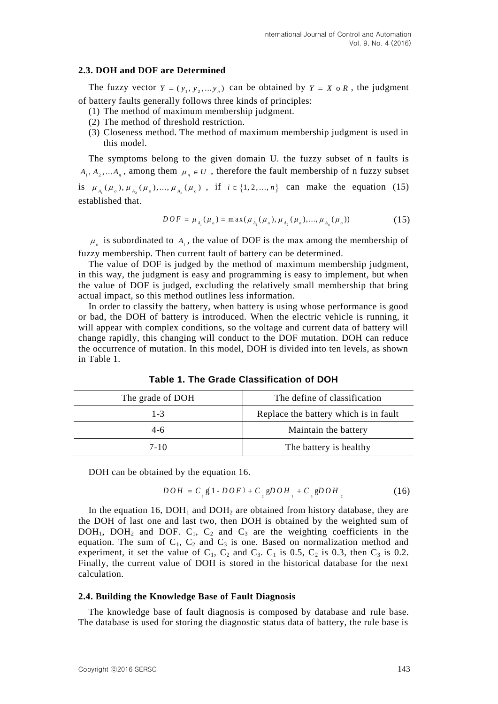### **2.3. DOH and DOF are Determined**

The fuzzy vector  $Y = (y_1, y_2, \dots, y_n)$  can be obtained by  $Y = X \circ R$ , the judgment of battery faults generally follows three kinds of principles:

- (1) The method of maximum membership judgment.
- (2) The method of threshold restriction.
- (3) Closeness method. The method of maximum membership judgment is used in this model.

The symptoms belong to the given domain U. the fuzzy subset of n faults is  $A_1, A_2, \ldots, A_n$ , among them  $\mu_n \in U$ , therefore the fault membership of n fuzzy subset is  $\mu_{A_1}(\mu_o), \mu_{A_2}(\mu_o), ..., \mu_{A_n}(\mu_o)$ , if  $i \in \{1, 2, ..., n\}$  can make the equation (15)

established that.

$$
DOF = \mu_{A_i}(\mu_o) = \max(\mu_{A_1}(\mu_o), \mu_{A_2}(\mu_o), ..., \mu_{A_n}(\mu_o))
$$
(15)

 $\mu_{\circ}$  is subordinated to  $A_i$ , the value of DOF is the max among the membership of fuzzy membership. Then current fault of battery can be determined.

The value of DOF is judged by the method of maximum membership judgment, in this way, the judgment is easy and programming is easy to implement, but when the value of DOF is judged, excluding the relatively small membership that bring actual impact, so this method outlines less information.

In order to classify the battery, when battery is using whose performance is good or bad, the DOH of battery is introduced. When the electric vehicle is running, it will appear with complex conditions, so the voltage and current data of battery will change rapidly, this changing will conduct to the DOF mutation. DOH can reduce the occurrence of mutation. In this model, DOH is divided into ten levels, as shown in Table 1.

| The grade of DOH | The define of classification          |  |  |
|------------------|---------------------------------------|--|--|
| $1 - 3$          | Replace the battery which is in fault |  |  |
| $4-6$            | Maintain the battery                  |  |  |
| 7-10             | The battery is healthy                |  |  |

**Table 1. The Grade Classification of DOH**

DOH can be obtained by the equation 16.

$$
DOH = C_{\frac{1}{2}} \mathfrak{g} (1 - DOF) + C_{\frac{1}{2}} \mathfrak{g} DOH_{\frac{1}{2}} + C_{\frac{1}{3}} \mathfrak{g} DOH_{\frac{1}{2}}
$$
(16)

In the equation 16,  $DOH<sub>1</sub>$  and  $DOH<sub>2</sub>$  are obtained from history database, they are the DOH of last one and last two, then DOH is obtained by the weighted sum of  $DOH<sub>1</sub>$ ,  $DOH<sub>2</sub>$  and  $DOF$ .  $C<sub>1</sub>$ ,  $C<sub>2</sub>$  and  $C<sub>3</sub>$  are the weighting coefficients in the equation. The sum of  $C_1$ ,  $C_2$  and  $C_3$  is one. Based on normalization method and experiment, it set the value of  $C_1$ ,  $C_2$  and  $C_3$ .  $C_1$  is 0.5,  $C_2$  is 0.3, then  $C_3$  is 0.2. Finally, the current value of DOH is stored in the historical database for the next calculation.

### **2.4. Building the Knowledge Base of Fault Diagnosis**

The knowledge base of fault diagnosis is composed by database and rule base. The database is used for storing the diagnostic status data of battery, the rule base is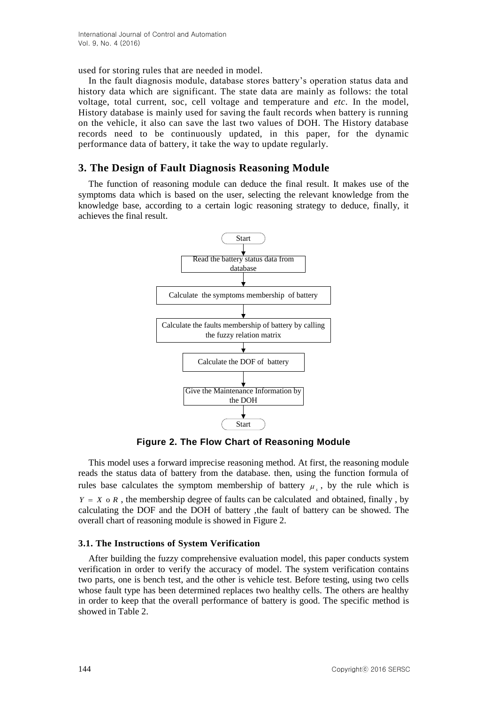used for storing rules that are needed in model.

In the fault diagnosis module, database stores battery's operation status data and history data which are significant. The state data are mainly as follows: the total voltage, total current, soc, cell voltage and temperature and *etc*. In the model, History database is mainly used for saving the fault records when battery is running on the vehicle, it also can save the last two values of DOH. The History database records need to be continuously updated, in this paper, for the dynamic performance data of battery, it take the way to update regularly.

# **3. The Design of Fault Diagnosis Reasoning Module**

The function of reasoning module can deduce the final result. It makes use of the symptoms data which is based on the user, selecting the relevant knowledge from the knowledge base, according to a certain logic reasoning strategy to deduce, finally, it achieves the final result.



**Figure 2. The Flow Chart of Reasoning Module**

This model uses a forward imprecise reasoning method. At first, the reasoning module reads the status data of battery from the database. then, using the function formula of rules base calculates the symptom membership of battery  $\mu<sub>s</sub>$ , by the rule which is  $Y = X \circ R$ , the membership degree of faults can be calculated and obtained, finally, by calculating the DOF and the DOH of battery ,the fault of battery can be showed. The overall chart of reasoning module is showed in Figure 2.

# **3.1. The Instructions of System Verification**

After building the fuzzy comprehensive evaluation model, this paper conducts system verification in order to verify the accuracy of model. The system verification contains two parts, one is bench test, and the other is vehicle test. Before testing, using two cells whose fault type has been determined replaces two healthy cells. The others are healthy in order to keep that the overall performance of battery is good. The specific method is showed in Table 2.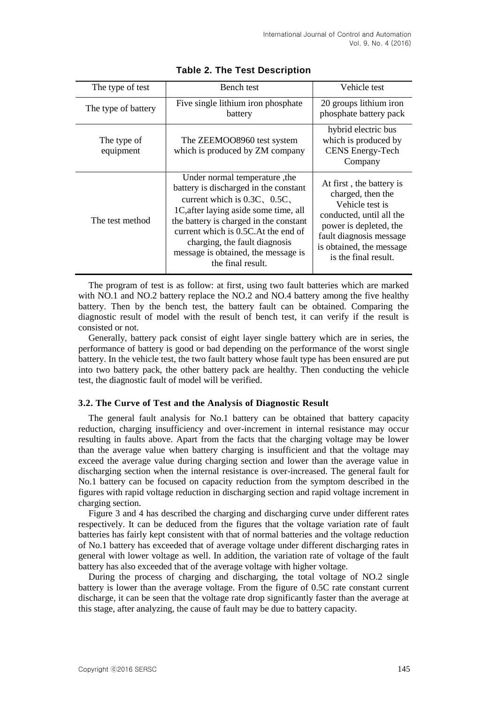| The type of test         | Bench test                                                                                                                                                                                                                                                                                                                           | Vehicle test                                                                                                                                                                                          |  |
|--------------------------|--------------------------------------------------------------------------------------------------------------------------------------------------------------------------------------------------------------------------------------------------------------------------------------------------------------------------------------|-------------------------------------------------------------------------------------------------------------------------------------------------------------------------------------------------------|--|
| The type of battery      | Five single lithium iron phosphate<br>battery                                                                                                                                                                                                                                                                                        | 20 groups lithium iron<br>phosphate battery pack                                                                                                                                                      |  |
| The type of<br>equipment | The ZEEMOO8960 test system<br>which is produced by ZM company                                                                                                                                                                                                                                                                        | hybrid electric bus<br>which is produced by<br><b>CENS</b> Energy-Tech<br>Company                                                                                                                     |  |
| The test method          | Under normal temperature, the<br>battery is discharged in the constant<br>current which is $0.3C$ , $0.5C$ ,<br>1C, after laying aside some time, all<br>the battery is charged in the constant<br>current which is 0.5C. At the end of<br>charging, the fault diagnosis<br>message is obtained, the message is<br>the final result. | At first, the battery is<br>charged, then the<br>Vehicle test is<br>conducted, until all the<br>power is depleted, the<br>fault diagnosis message<br>is obtained, the message<br>is the final result. |  |

### **Table 2. The Test Description**

The program of test is as follow: at first, using two fault batteries which are marked with NO.1 and NO.2 battery replace the NO.2 and NO.4 battery among the five healthy battery. Then by the bench test, the battery fault can be obtained. Comparing the diagnostic result of model with the result of bench test, it can verify if the result is consisted or not.

Generally, battery pack consist of eight layer single battery which are in series, the performance of battery is good or bad depending on the performance of the worst single battery. In the vehicle test, the two fault battery whose fault type has been ensured are put into two battery pack, the other battery pack are healthy. Then conducting the vehicle test, the diagnostic fault of model will be verified.

### **3.2. The Curve of Test and the Analysis of Diagnostic Result**

The general fault analysis for No.1 battery can be obtained that battery capacity reduction, charging insufficiency and over-increment in internal resistance may occur resulting in faults above. Apart from the facts that the charging voltage may be lower than the average value when battery charging is insufficient and that the voltage may exceed the average value during charging section and lower than the average value in discharging section when the internal resistance is over-increased. The general fault for No.1 battery can be focused on capacity reduction from the symptom described in the figures with rapid voltage reduction in discharging section and rapid voltage increment in charging section.

Figure 3 and 4 has described the charging and discharging curve under different rates respectively. It can be deduced from the figures that the voltage variation rate of fault batteries has fairly kept consistent with that of normal batteries and the voltage reduction of No.1 battery has exceeded that of average voltage under different discharging rates in general with lower voltage as well. In addition, the variation rate of voltage of the fault battery has also exceeded that of the average voltage with higher voltage.

During the process of charging and discharging, the total voltage of NO.2 single battery is lower than the average voltage. From the figure of 0.5C rate constant current discharge, it can be seen that the voltage rate drop significantly faster than the average at this stage, after analyzing, the cause of fault may be due to battery capacity.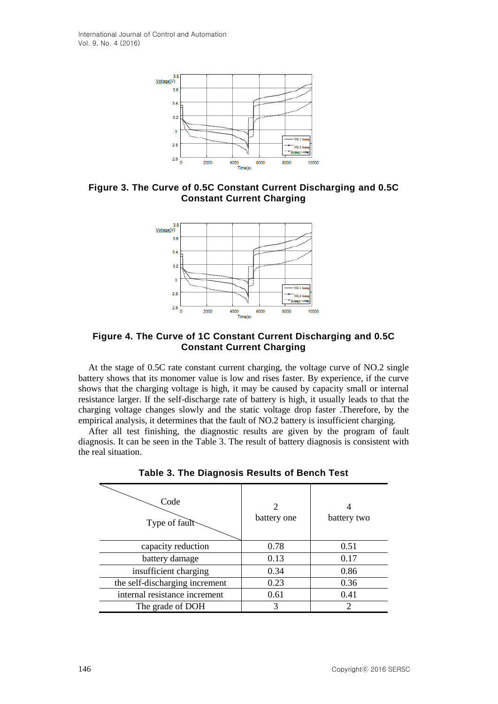

**Figure 3. The Curve of 0.5C Constant Current Discharging and 0.5C Constant Current Charging**



**Figure 4. The Curve of 1C Constant Current Discharging and 0.5C Constant Current Charging**

At the stage of 0.5C rate constant current charging, the voltage curve of NO.2 single battery shows that its monomer value is low and rises faster. By experience, if the curve shows that the charging voltage is high, it may be caused by capacity small or internal resistance larger. If the self-discharge rate of battery is high, it usually leads to that the charging voltage changes slowly and the static voltage drop faster .Therefore, by the empirical analysis, it determines that the fault of NO.2 battery is insufficient charging.

After all test finishing, the diagnostic results are given by the program of fault diagnosis. It can be seen in the Table 3. The result of battery diagnosis is consistent with the real situation.

| Code<br>Type of fault          | 2<br>battery one | battery two                 |
|--------------------------------|------------------|-----------------------------|
| capacity reduction             | 0.78             | 0.51                        |
| battery damage                 | 0.13             | 0.17                        |
| insufficient charging          | 0.34             | 0.86                        |
| the self-discharging increment | 0.23             | 0.36                        |
| internal resistance increment  | 0.61             | 0.41                        |
| The grade of DOH               | 3                | $\mathcal{D}_{\mathcal{L}}$ |

**Table 3. The Diagnosis Results of Bench Test**